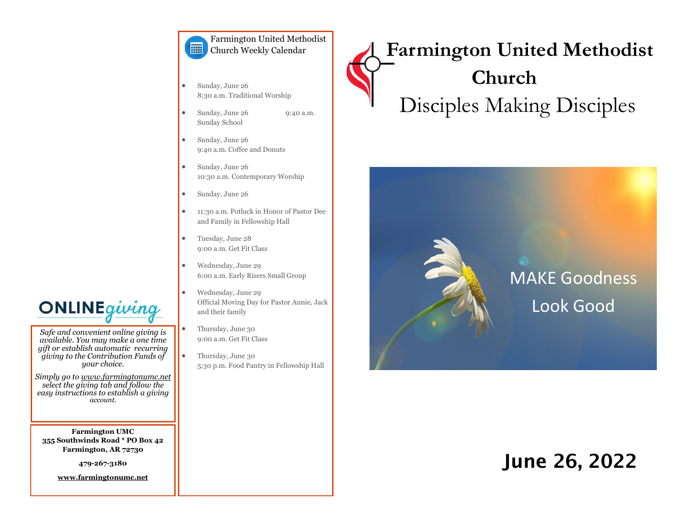#### Farmington United Methodist E. Church Weekly Calendar

- Sunday, June 26 8:30 a.m. Traditional Worship
- Sunday, June 26 9:40 a.m. Sunday School
- Sunday, June 26 9:40 a.m. Coffee and Donuts
- Sunday, June 26 10:30 a.m. Contemporary Worship
- Sunday, June 26
- 11:30 a.m. Potluck in Honor of Pastor Dee and Family in Fellowship Hall
- Tuesday, June 28 9:00 a.m. Get Fit Class
- Wednesday, June 29 6:00 a.m. Early Risers Small Group
- Wednesday, June 29 Official Moving Day for Pastor Annie, Jack and their family
- Thursday, June 30 9:00 a.m. Get Fit Class
- Thursday, June 30 5:30 p.m. Food Pantry in Fellowship Hall

# **Farmington United Methodist Church** Disciples Making Disciples



## June 26, 2022



*Safe and convenient online giving is available. You may make a one time gift or establish automatic recurring giving to the Contribution Funds of your choice.* 

*Simply go to www.farmingtonumc.net select the giving tab and follow the easy instructions to establish a giving account.* 

**Farmington UMC 355 Southwinds Road \* PO Box 42 Farmington, AR 72730**

**479-267-3180** 

**www.farmingtonumc.net**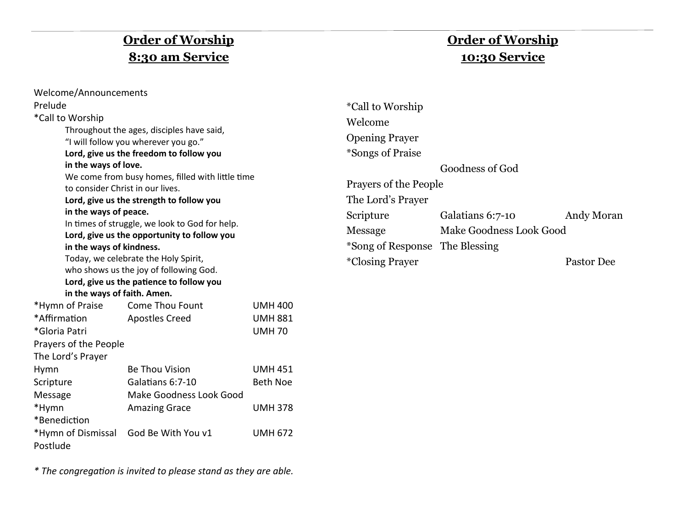## **Order of Worship 8:30 am Service**

## **Order of Worship 10:30 Service**

| Welcome/Announcements                                                                                    |                                                                                                                                                                                                                                                                                                                                                                                                                                                                                                                                |                |                                                                                                                                                                                                                   |                                                                |                          |
|----------------------------------------------------------------------------------------------------------|--------------------------------------------------------------------------------------------------------------------------------------------------------------------------------------------------------------------------------------------------------------------------------------------------------------------------------------------------------------------------------------------------------------------------------------------------------------------------------------------------------------------------------|----------------|-------------------------------------------------------------------------------------------------------------------------------------------------------------------------------------------------------------------|----------------------------------------------------------------|--------------------------|
| Prelude<br>*Call to Worship<br>in the ways of love.<br>in the ways of peace.<br>in the ways of kindness. | Throughout the ages, disciples have said,<br>"I will follow you wherever you go."<br>Lord, give us the freedom to follow you<br>We come from busy homes, filled with little time<br>to consider Christ in our lives.<br>Lord, give us the strength to follow you<br>In times of struggle, we look to God for help.<br>Lord, give us the opportunity to follow you<br>Today, we celebrate the Holy Spirit,<br>who shows us the joy of following God.<br>Lord, give us the patience to follow you<br>in the ways of faith. Amen. |                | <i>*Call to Worship</i><br>Welcome<br><b>Opening Prayer</b><br>*Songs of Praise<br>Prayers of the People<br>The Lord's Prayer<br>Scripture<br>Message<br>*Song of Response The Blessing<br><i>*Closing Prayer</i> | Goodness of God<br>Galatians 6:7-10<br>Make Goodness Look Good | Andy Moran<br>Pastor Dee |
| *Hymn of Praise                                                                                          | <b>Come Thou Fount</b>                                                                                                                                                                                                                                                                                                                                                                                                                                                                                                         | <b>UMH 400</b> |                                                                                                                                                                                                                   |                                                                |                          |
| *Affirmation                                                                                             | <b>Apostles Creed</b>                                                                                                                                                                                                                                                                                                                                                                                                                                                                                                          | <b>UMH 881</b> |                                                                                                                                                                                                                   |                                                                |                          |
| *Gloria Patri<br><b>UMH70</b>                                                                            |                                                                                                                                                                                                                                                                                                                                                                                                                                                                                                                                |                |                                                                                                                                                                                                                   |                                                                |                          |
| Prayers of the People                                                                                    |                                                                                                                                                                                                                                                                                                                                                                                                                                                                                                                                |                |                                                                                                                                                                                                                   |                                                                |                          |
| The Lord's Prayer                                                                                        |                                                                                                                                                                                                                                                                                                                                                                                                                                                                                                                                |                |                                                                                                                                                                                                                   |                                                                |                          |

*\* The congregation is invited to please stand as they are able.*

Hymn Be Thou Vision UMH 451 Scripture **Galatians 6:7-10** Beth Noe

\*Hymn Amazing Grace UMH 378

\*Hymn of Dismissal God Be With You v1 UMH 672

Message Make Goodness Look Good

\*Benediction

Postlude